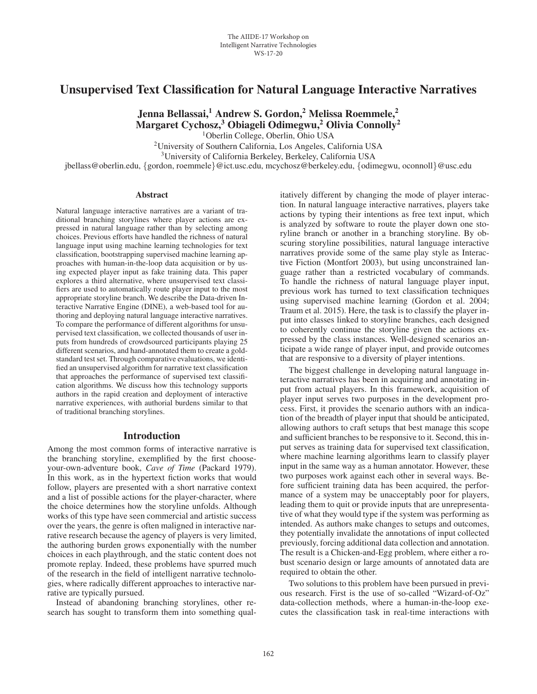# Unsupervised Text Classification for Natural Language Interactive Narratives

Jenna Bellassai,<sup>1</sup> Andrew S. Gordon,<sup>2</sup> Melissa Roemmele,<sup>2</sup> Margaret Cychosz,<sup>3</sup> Obiageli Odimegwu,<sup>2</sup> Olivia Connolly<sup>2</sup>

1Oberlin College, Oberlin, Ohio USA

2University of Southern California, Los Angeles, California USA

3University of California Berkeley, Berkeley, California USA

jbellass@oberlin.edu, {gordon, roemmele}@ict.usc.edu, mcychosz@berkeley.edu, {odimegwu, oconnoll}@usc.edu

#### Abstract

Natural language interactive narratives are a variant of traditional branching storylines where player actions are expressed in natural language rather than by selecting among choices. Previous efforts have handled the richness of natural language input using machine learning technologies for text classification, bootstrapping supervised machine learning approaches with human-in-the-loop data acquisition or by using expected player input as fake training data. This paper explores a third alternative, where unsupervised text classifiers are used to automatically route player input to the most appropriate storyline branch. We describe the Data-driven Interactive Narrative Engine (DINE), a web-based tool for authoring and deploying natural language interactive narratives. To compare the performance of different algorithms for unsupervised text classification, we collected thousands of user inputs from hundreds of crowdsourced participants playing 25 different scenarios, and hand-annotated them to create a goldstandard test set. Through comparative evaluations, we identified an unsupervised algorithm for narrative text classification that approaches the performance of supervised text classification algorithms. We discuss how this technology supports authors in the rapid creation and deployment of interactive narrative experiences, with authorial burdens similar to that of traditional branching storylines.

# Introduction

Among the most common forms of interactive narrative is the branching storyline, exemplified by the first chooseyour-own-adventure book, *Cave of Time* (Packard 1979). In this work, as in the hypertext fiction works that would follow, players are presented with a short narrative context and a list of possible actions for the player-character, where the choice determines how the storyline unfolds. Although works of this type have seen commercial and artistic success over the years, the genre is often maligned in interactive narrative research because the agency of players is very limited, the authoring burden grows exponentially with the number choices in each playthrough, and the static content does not promote replay. Indeed, these problems have spurred much of the research in the field of intelligent narrative technologies, where radically different approaches to interactive narrative are typically pursued.

Instead of abandoning branching storylines, other research has sought to transform them into something qualitatively different by changing the mode of player interaction. In natural language interactive narratives, players take actions by typing their intentions as free text input, which is analyzed by software to route the player down one storyline branch or another in a branching storyline. By obscuring storyline possibilities, natural language interactive narratives provide some of the same play style as Interactive Fiction (Montfort 2003), but using unconstrained language rather than a restricted vocabulary of commands. To handle the richness of natural language player input, previous work has turned to text classification techniques using supervised machine learning (Gordon et al. 2004; Traum et al. 2015). Here, the task is to classify the player input into classes linked to storyline branches, each designed to coherently continue the storyline given the actions expressed by the class instances. Well-designed scenarios anticipate a wide range of player input, and provide outcomes that are responsive to a diversity of player intentions.

The biggest challenge in developing natural language interactive narratives has been in acquiring and annotating input from actual players. In this framework, acquisition of player input serves two purposes in the development process. First, it provides the scenario authors with an indication of the breadth of player input that should be anticipated, allowing authors to craft setups that best manage this scope and sufficient branches to be responsive to it. Second, this input serves as training data for supervised text classification, where machine learning algorithms learn to classify player input in the same way as a human annotator. However, these two purposes work against each other in several ways. Before sufficient training data has been acquired, the performance of a system may be unacceptably poor for players, leading them to quit or provide inputs that are unrepresentative of what they would type if the system was performing as intended. As authors make changes to setups and outcomes, they potentially invalidate the annotations of input collected previously, forcing additional data collection and annotation. The result is a Chicken-and-Egg problem, where either a robust scenario design or large amounts of annotated data are required to obtain the other.

Two solutions to this problem have been pursued in previous research. First is the use of so-called "Wizard-of-Oz" data-collection methods, where a human-in-the-loop executes the classification task in real-time interactions with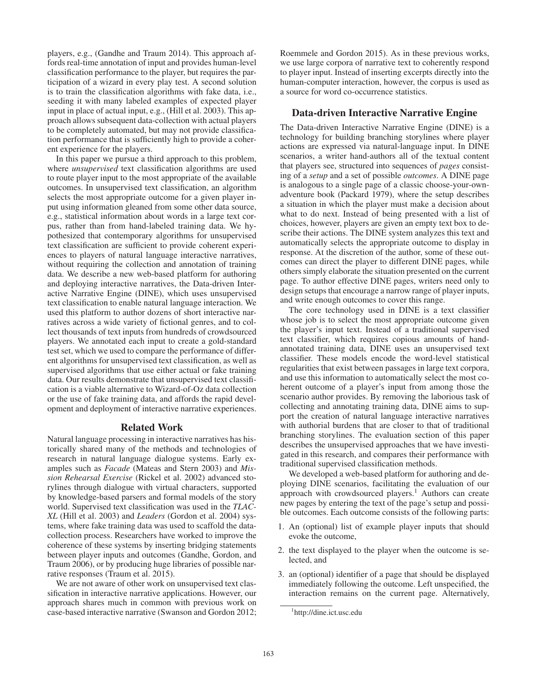players, e.g., (Gandhe and Traum 2014). This approach affords real-time annotation of input and provides human-level classification performance to the player, but requires the participation of a wizard in every play test. A second solution is to train the classification algorithms with fake data, i.e., seeding it with many labeled examples of expected player input in place of actual input, e.g., (Hill et al. 2003). This approach allows subsequent data-collection with actual players to be completely automated, but may not provide classification performance that is sufficiently high to provide a coherent experience for the players.

In this paper we pursue a third approach to this problem, where *unsupervised* text classification algorithms are used to route player input to the most appropriate of the available outcomes. In unsupervised text classification, an algorithm selects the most appropriate outcome for a given player input using information gleaned from some other data source, e.g., statistical information about words in a large text corpus, rather than from hand-labeled training data. We hypothesized that contemporary algorithms for unsupervised text classification are sufficient to provide coherent experiences to players of natural language interactive narratives, without requiring the collection and annotation of training data. We describe a new web-based platform for authoring and deploying interactive narratives, the Data-driven Interactive Narrative Engine (DINE), which uses unsupervised text classification to enable natural language interaction. We used this platform to author dozens of short interactive narratives across a wide variety of fictional genres, and to collect thousands of text inputs from hundreds of crowdsourced players. We annotated each input to create a gold-standard test set, which we used to compare the performance of different algorithms for unsupervised text classification, as well as supervised algorithms that use either actual or fake training data. Our results demonstrate that unsupervised text classification is a viable alternative to Wizard-of-Oz data collection or the use of fake training data, and affords the rapid development and deployment of interactive narrative experiences.

#### Related Work

Natural language processing in interactive narratives has historically shared many of the methods and technologies of research in natural language dialogue systems. Early examples such as *Facade* (Mateas and Stern 2003) and *Mission Rehearsal Exercise* (Rickel et al. 2002) advanced storylines through dialogue with virtual characters, supported by knowledge-based parsers and formal models of the story world. Supervised text classification was used in the *TLAC-XL* (Hill et al. 2003) and *Leaders* (Gordon et al. 2004) systems, where fake training data was used to scaffold the datacollection process. Researchers have worked to improve the coherence of these systems by inserting bridging statements between player inputs and outcomes (Gandhe, Gordon, and Traum 2006), or by producing huge libraries of possible narrative responses (Traum et al. 2015).

We are not aware of other work on unsupervised text classification in interactive narrative applications. However, our approach shares much in common with previous work on case-based interactive narrative (Swanson and Gordon 2012;

Roemmele and Gordon 2015). As in these previous works, we use large corpora of narrative text to coherently respond to player input. Instead of inserting excerpts directly into the human-computer interaction, however, the corpus is used as a source for word co-occurrence statistics.

## Data-driven Interactive Narrative Engine

The Data-driven Interactive Narrative Engine (DINE) is a technology for building branching storylines where player actions are expressed via natural-language input. In DINE scenarios, a writer hand-authors all of the textual content that players see, structured into sequences of *pages* consisting of a *setup* and a set of possible *outcomes*. A DINE page is analogous to a single page of a classic choose-your-ownadventure book (Packard 1979), where the setup describes a situation in which the player must make a decision about what to do next. Instead of being presented with a list of choices, however, players are given an empty text box to describe their actions. The DINE system analyzes this text and automatically selects the appropriate outcome to display in response. At the discretion of the author, some of these outcomes can direct the player to different DINE pages, while others simply elaborate the situation presented on the current page. To author effective DINE pages, writers need only to design setups that encourage a narrow range of player inputs, and write enough outcomes to cover this range.

The core technology used in DINE is a text classifier whose job is to select the most appropriate outcome given the player's input text. Instead of a traditional supervised text classifier, which requires copious amounts of handannotated training data, DINE uses an unsupervised text classifier. These models encode the word-level statistical regularities that exist between passages in large text corpora, and use this information to automatically select the most coherent outcome of a player's input from among those the scenario author provides. By removing the laborious task of collecting and annotating training data, DINE aims to support the creation of natural language interactive narratives with authorial burdens that are closer to that of traditional branching storylines. The evaluation section of this paper describes the unsupervised approaches that we have investigated in this research, and compares their performance with traditional supervised classification methods.

We developed a web-based platform for authoring and deploying DINE scenarios, facilitating the evaluation of our approach with crowdsourced players.<sup>1</sup> Authors can create new pages by entering the text of the page's setup and possible outcomes. Each outcome consists of the following parts:

- 1. An (optional) list of example player inputs that should evoke the outcome,
- 2. the text displayed to the player when the outcome is selected, and
- 3. an (optional) identifier of a page that should be displayed immediately following the outcome. Left unspecified, the interaction remains on the current page. Alternatively,

<sup>1</sup> http://dine.ict.usc.edu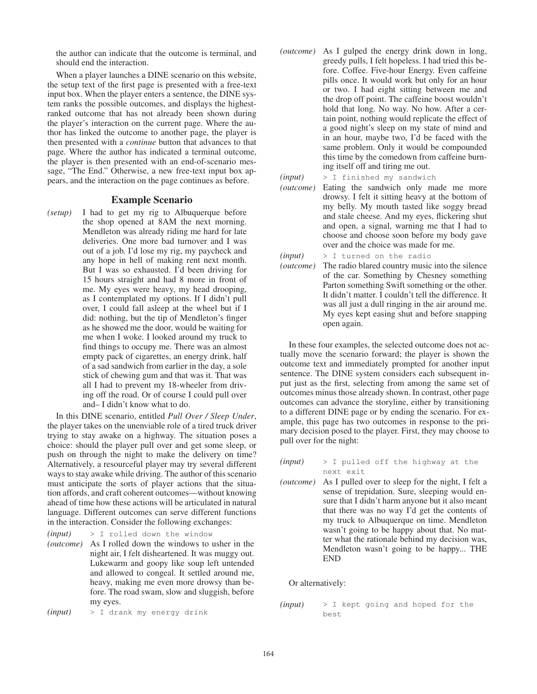the author can indicate that the outcome is terminal, and should end the interaction.

When a player launches a DINE scenario on this website, the setup text of the first page is presented with a free-text input box. When the player enters a sentence, the DINE system ranks the possible outcomes, and displays the highestranked outcome that has not already been shown during the player's interaction on the current page. Where the author has linked the outcome to another page, the player is then presented with a *continue* button that advances to that page. Where the author has indicated a terminal outcome, the player is then presented with an end-of-scenario message, "The End." Otherwise, a new free-text input box appears, and the interaction on the page continues as before.

## Example Scenario

*(setup)* I had to get my rig to Albuquerque before the shop opened at 8AM the next morning. Mendleton was already riding me hard for late deliveries. One more bad turnover and I was out of a job. I'd lose my rig, my paycheck and any hope in hell of making rent next month. But I was so exhausted. I'd been driving for 15 hours straight and had 8 more in front of me. My eyes were heavy, my head drooping, as I contemplated my options. If I didn't pull over, I could fall asleep at the wheel but if I did: nothing, but the tip of Mendleton's finger as he showed me the door, would be waiting for me when I woke. I looked around my truck to find things to occupy me. There was an almost empty pack of cigarettes, an energy drink, half of a sad sandwich from earlier in the day, a sole stick of chewing gum and that was it. That was all I had to prevent my 18-wheeler from driving off the road. Or of course I could pull over and– I didn't know what to do.

In this DINE scenario, entitled *Pull Over / Sleep Under*, the player takes on the unenviable role of a tired truck driver trying to stay awake on a highway. The situation poses a choice: should the player pull over and get some sleep, or push on through the night to make the delivery on time? Alternatively, a resourceful player may try several different ways to stay awake while driving. The author of this scenario must anticipate the sorts of player actions that the situation affords, and craft coherent outcomes—without knowing ahead of time how these actions will be articulated in natural language. Different outcomes can serve different functions in the interaction. Consider the following exchanges:

*(input)* > I rolled down the window

- *(outcome)* As I rolled down the windows to usher in the night air, I felt disheartened. It was muggy out. Lukewarm and goopy like soup left untended and allowed to congeal. It settled around me, heavy, making me even more drowsy than before. The road swam, slow and sluggish, before my eyes.
- *(input)* > I drank my energy drink
- *(outcome)* As I gulped the energy drink down in long, greedy pulls, I felt hopeless. I had tried this before. Coffee. Five-hour Energy. Even caffeine pills once. It would work but only for an hour or two. I had eight sitting between me and the drop off point. The caffeine boost wouldn't hold that long. No way. No how. After a certain point, nothing would replicate the effect of a good night's sleep on my state of mind and in an hour, maybe two, I'd be faced with the same problem. Only it would be compounded this time by the comedown from caffeine burning itself off and tiring me out.
- *(input)* > I finished my sandwich
- *(outcome)* Eating the sandwich only made me more drowsy. I felt it sitting heavy at the bottom of my belly. My mouth tasted like soggy bread and stale cheese. And my eyes, flickering shut and open, a signal, warning me that I had to choose and choose soon before my body gave over and the choice was made for me.
- *(input)* > I turned on the radio
- *(outcome)* The radio blared country music into the silence of the car. Something by Chesney something Parton something Swift something or the other. It didn't matter. I couldn't tell the difference. It was all just a dull ringing in the air around me. My eyes kept easing shut and before snapping open again.

In these four examples, the selected outcome does not actually move the scenario forward; the player is shown the outcome text and immediately prompted for another input sentence. The DINE system considers each subsequent input just as the first, selecting from among the same set of outcomes minus those already shown. In contrast, other page outcomes can advance the storyline, either by transitioning to a different DINE page or by ending the scenario. For example, this page has two outcomes in response to the primary decision posed to the player. First, they may choose to pull over for the night:

- *(input)* > I pulled off the highway at the next exit
- *(outcome)* As I pulled over to sleep for the night, I felt a sense of trepidation. Sure, sleeping would ensure that I didn't harm anyone but it also meant that there was no way I'd get the contents of my truck to Albuquerque on time. Mendleton wasn't going to be happy about that. No matter what the rationale behind my decision was, Mendleton wasn't going to be happy... THE END

Or alternatively:

*(input)* > I kept going and hoped for the best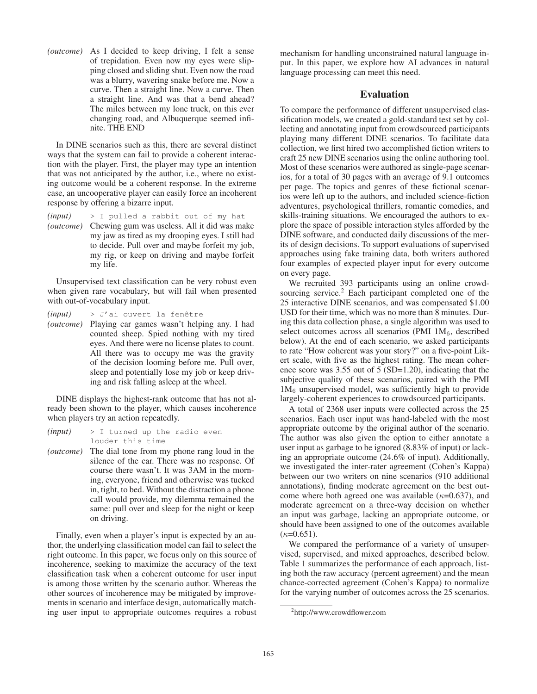*(outcome)* As I decided to keep driving, I felt a sense of trepidation. Even now my eyes were slipping closed and sliding shut. Even now the road was a blurry, wavering snake before me. Now a curve. Then a straight line. Now a curve. Then a straight line. And was that a bend ahead? The miles between my lone truck, on this ever changing road, and Albuquerque seemed infinite. THE END

In DINE scenarios such as this, there are several distinct ways that the system can fail to provide a coherent interaction with the player. First, the player may type an intention that was not anticipated by the author, i.e., where no existing outcome would be a coherent response. In the extreme case, an uncooperative player can easily force an incoherent response by offering a bizarre input.

*(input)* > I pulled a rabbit out of my hat *(outcome)* Chewing gum was useless. All it did was make my jaw as tired as my drooping eyes. I still had to decide. Pull over and maybe forfeit my job, my rig, or keep on driving and maybe forfeit my life.

Unsupervised text classification can be very robust even when given rare vocabulary, but will fail when presented with out-of-vocabulary input.

- *(input)* > J'ai ouvert la fenêtre
- *(outcome)* Playing car games wasn't helping any. I had counted sheep. Spied nothing with my tired eyes. And there were no license plates to count. All there was to occupy me was the gravity of the decision looming before me. Pull over, sleep and potentially lose my job or keep driving and risk falling asleep at the wheel.

DINE displays the highest-rank outcome that has not already been shown to the player, which causes incoherence when players try an action repeatedly.

- *(input)* > I turned up the radio even louder this time
- *(outcome)* The dial tone from my phone rang loud in the silence of the car. There was no response. Of course there wasn't. It was 3AM in the morning, everyone, friend and otherwise was tucked in, tight, to bed. Without the distraction a phone call would provide, my dilemma remained the same: pull over and sleep for the night or keep on driving.

Finally, even when a player's input is expected by an author, the underlying classification model can fail to select the right outcome. In this paper, we focus only on this source of incoherence, seeking to maximize the accuracy of the text classification task when a coherent outcome for user input is among those written by the scenario author. Whereas the other sources of incoherence may be mitigated by improvements in scenario and interface design, automatically matching user input to appropriate outcomes requires a robust

mechanism for handling unconstrained natural language input. In this paper, we explore how AI advances in natural language processing can meet this need.

## Evaluation

To compare the performance of different unsupervised classification models, we created a gold-standard test set by collecting and annotating input from crowdsourced participants playing many different DINE scenarios. To facilitate data collection, we first hired two accomplished fiction writers to craft 25 new DINE scenarios using the online authoring tool. Most of these scenarios were authored as single-page scenarios, for a total of 30 pages with an average of 9.1 outcomes per page. The topics and genres of these fictional scenarios were left up to the authors, and included science-fiction adventures, psychological thrillers, romantic comedies, and skills-training situations. We encouraged the authors to explore the space of possible interaction styles afforded by the DINE software, and conducted daily discussions of the merits of design decisions. To support evaluations of supervised approaches using fake training data, both writers authored four examples of expected player input for every outcome on every page.

We recruited 393 participants using an online crowdsourcing service.<sup>2</sup> Each participant completed one of the 25 interactive DINE scenarios, and was compensated \$1.00 USD for their time, which was no more than 8 minutes. During this data collection phase, a single algorithm was used to select outcomes across all scenarios (PMI  $1M_6$ , described below). At the end of each scenario, we asked participants to rate "How coherent was your story?" on a five-point Likert scale, with five as the highest rating. The mean coherence score was 3.55 out of 5 (SD=1.20), indicating that the subjective quality of these scenarios, paired with the PMI  $1M_6$  unsupervised model, was sufficiently high to provide largely-coherent experiences to crowdsourced participants.

A total of 2368 user inputs were collected across the 25 scenarios. Each user input was hand-labeled with the most appropriate outcome by the original author of the scenario. The author was also given the option to either annotate a user input as garbage to be ignored (8.83% of input) or lacking an appropriate outcome (24.6% of input). Additionally, we investigated the inter-rater agreement (Cohen's Kappa) between our two writers on nine scenarios (910 additional annotations), finding moderate agreement on the best outcome where both agreed one was available  $(\kappa=0.637)$ , and moderate agreement on a three-way decision on whether an input was garbage, lacking an appropriate outcome, or should have been assigned to one of the outcomes available  $(\kappa=0.651)$ .

We compared the performance of a variety of unsupervised, supervised, and mixed approaches, described below. Table 1 summarizes the performance of each approach, listing both the raw accuracy (percent agreement) and the mean chance-corrected agreement (Cohen's Kappa) to normalize for the varying number of outcomes across the 25 scenarios.

<sup>2</sup> http://www.crowdflower.com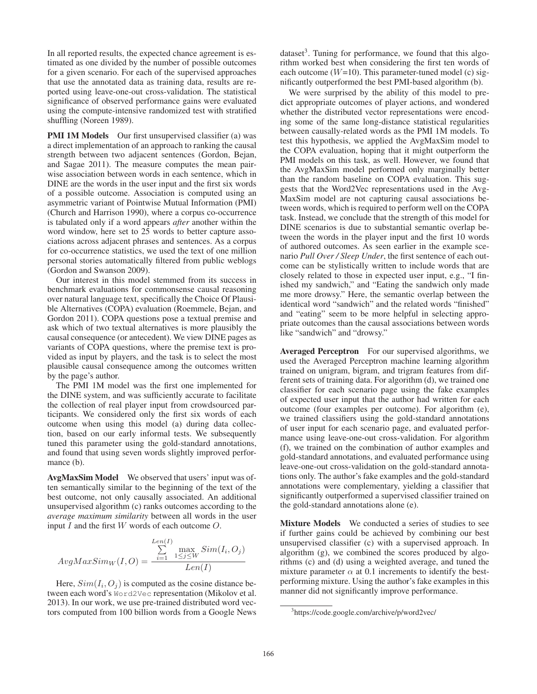In all reported results, the expected chance agreement is estimated as one divided by the number of possible outcomes for a given scenario. For each of the supervised approaches that use the annotated data as training data, results are reported using leave-one-out cross-validation. The statistical significance of observed performance gains were evaluated using the compute-intensive randomized test with stratified shuffling (Noreen 1989).

**PMI 1M Models** Our first unsupervised classifier (a) was a direct implementation of an approach to ranking the causal strength between two adjacent sentences (Gordon, Bejan, and Sagae 2011). The measure computes the mean pairwise association between words in each sentence, which in DINE are the words in the user input and the first six words of a possible outcome. Association is computed using an asymmetric variant of Pointwise Mutual Information (PMI) (Church and Harrison 1990), where a corpus co-occurrence is tabulated only if a word appears *after* another within the word window, here set to 25 words to better capture associations across adjacent phrases and sentences. As a corpus for co-occurrence statistics, we used the text of one million personal stories automatically filtered from public weblogs (Gordon and Swanson 2009).

Our interest in this model stemmed from its success in benchmark evaluations for commonsense causal reasoning over natural language text, specifically the Choice Of Plausible Alternatives (COPA) evaluation (Roemmele, Bejan, and Gordon 2011). COPA questions pose a textual premise and ask which of two textual alternatives is more plausibly the causal consequence (or antecedent). We view DINE pages as variants of COPA questions, where the premise text is provided as input by players, and the task is to select the most plausible causal consequence among the outcomes written by the page's author.

The PMI 1M model was the first one implemented for the DINE system, and was sufficiently accurate to facilitate the collection of real player input from crowdsourced participants. We considered only the first six words of each outcome when using this model (a) during data collection, based on our early informal tests. We subsequently tuned this parameter using the gold-standard annotations, and found that using seven words slightly improved performance (b).

AvgMaxSim Model We observed that users' input was often semantically similar to the beginning of the text of the best outcome, not only causally associated. An additional unsupervised algorithm (c) ranks outcomes according to the *average maximum similarity* between all words in the user input  $I$  and the first  $W$  words of each outcome  $O$ .

$$
AvgMaxSim_W(I, O) = \frac{\sum_{i=1}^{Len(I)} \max_{1 \le j \le W} Sim(I_i, O_j)}{Len(I)}
$$

Here,  $Sim(I_i, O_j)$  is computed as the cosine distance between each word's Word2Vec representation (Mikolov et al. 2013). In our work, we use pre-trained distributed word vectors computed from 100 billion words from a Google News

dataset<sup>3</sup>. Tuning for performance, we found that this algorithm worked best when considering the first ten words of each outcome ( $W=10$ ). This parameter-tuned model (c) significantly outperformed the best PMI-based algorithm (b).

We were surprised by the ability of this model to predict appropriate outcomes of player actions, and wondered whether the distributed vector representations were encoding some of the same long-distance statistical regularities between causally-related words as the PMI 1M models. To test this hypothesis, we applied the AvgMaxSim model to the COPA evaluation, hoping that it might outperform the PMI models on this task, as well. However, we found that the AvgMaxSim model performed only marginally better than the random baseline on COPA evaluation. This suggests that the Word2Vec representations used in the Avg-MaxSim model are not capturing causal associations between words, which is required to perform well on the COPA task. Instead, we conclude that the strength of this model for DINE scenarios is due to substantial semantic overlap between the words in the player input and the first 10 words of authored outcomes. As seen earlier in the example scenario *Pull Over / Sleep Under*, the first sentence of each outcome can be stylistically written to include words that are closely related to those in expected user input, e.g., "I finished my sandwich," and "Eating the sandwich only made me more drowsy." Here, the semantic overlap between the identical word "sandwich" and the related words "finished" and "eating" seem to be more helpful in selecting appropriate outcomes than the causal associations between words like "sandwich" and "drowsy."

Averaged Perceptron For our supervised algorithms, we used the Averaged Perceptron machine learning algorithm trained on unigram, bigram, and trigram features from different sets of training data. For algorithm (d), we trained one classifier for each scenario page using the fake examples of expected user input that the author had written for each outcome (four examples per outcome). For algorithm (e), we trained classifiers using the gold-standard annotations of user input for each scenario page, and evaluated performance using leave-one-out cross-validation. For algorithm (f), we trained on the combination of author examples and gold-standard annotations, and evaluated performance using leave-one-out cross-validation on the gold-standard annotations only. The author's fake examples and the gold-standard annotations were complementary, yielding a classifier that significantly outperformed a supervised classifier trained on the gold-standard annotations alone (e).

Mixture Models We conducted a series of studies to see if further gains could be achieved by combining our best unsupervised classifier (c) with a supervised approach. In algorithm (g), we combined the scores produced by algorithms (c) and (d) using a weighted average, and tuned the mixture parameter  $\alpha$  at 0.1 increments to identify the bestperforming mixture. Using the author's fake examples in this manner did not significantly improve performance.

<sup>3</sup> https://code.google.com/archive/p/word2vec/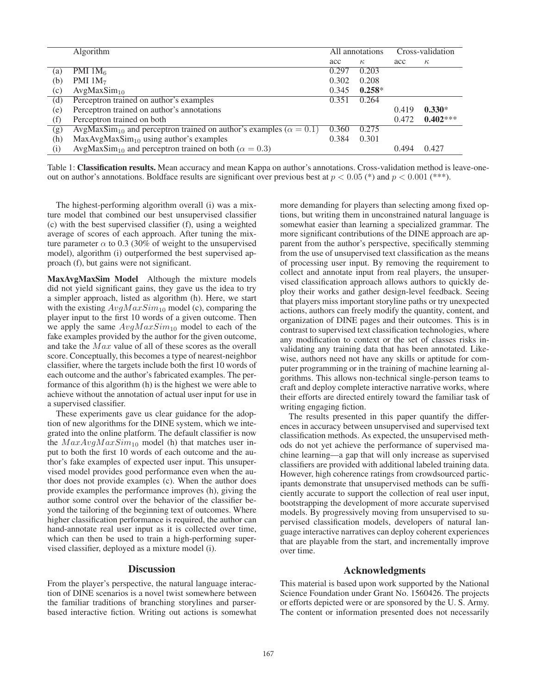|     | Algorithm                                                                              | All annotations |          | Cross-validation |            |
|-----|----------------------------------------------------------------------------------------|-----------------|----------|------------------|------------|
|     |                                                                                        | acc             | $\kappa$ | acc              | $\kappa$   |
| (a) | PMI $1M_6$                                                                             | 0.297           | 0.203    |                  |            |
| (b) | PMI $1M_7$                                                                             | 0.302           | 0.208    |                  |            |
| (c) | AvgMaxSim <sub>10</sub>                                                                | 0.345           | $0.258*$ |                  |            |
| (d) | Perceptron trained on author's examples                                                | 0.351           | 0.264    |                  |            |
| (e) | Perceptron trained on author's annotations                                             |                 |          | 0.419            | $0.330*$   |
| (f) | Perceptron trained on both                                                             |                 |          | 0.472            | $0.402***$ |
| (g) | AvgMaxSim <sub>10</sub> and perceptron trained on author's examples ( $\alpha = 0.1$ ) | 0.360           | 0.275    |                  |            |
| (h) | $MaxAvgMaxSim10 using author's examples$                                               | 0.384           | 0.301    |                  |            |
| (i) | AvgMaxSim <sub>10</sub> and perceptron trained on both ( $\alpha = 0.3$ )              |                 |          | 0.494            | 0.427      |
|     |                                                                                        |                 |          |                  |            |

Table 1: Classification results. Mean accuracy and mean Kappa on author's annotations. Cross-validation method is leave-oneout on author's annotations. Boldface results are significant over previous best at  $p < 0.05$  (\*) and  $p < 0.001$  (\*\*\*).

The highest-performing algorithm overall (i) was a mixture model that combined our best unsupervised classifier (c) with the best supervised classifier (f), using a weighted average of scores of each approach. After tuning the mixture parameter  $\alpha$  to 0.3 (30% of weight to the unsupervised model), algorithm (i) outperformed the best supervised approach (f), but gains were not significant.

MaxAvgMaxSim Model Although the mixture models did not yield significant gains, they gave us the idea to try a simpler approach, listed as algorithm (h). Here, we start with the existing  $AvgMaxSim_{10}$  model (c), comparing the player input to the first 10 words of a given outcome. Then we apply the same  $AvgMaxSim_{10}$  model to each of the fake examples provided by the author for the given outcome, and take the  $Max$  value of all of these scores as the overall score. Conceptually, this becomes a type of nearest-neighbor classifier, where the targets include both the first 10 words of each outcome and the author's fabricated examples. The performance of this algorithm (h) is the highest we were able to achieve without the annotation of actual user input for use in a supervised classifier.

These experiments gave us clear guidance for the adoption of new algorithms for the DINE system, which we integrated into the online platform. The default classifier is now the  $MaxAvgMaxSim_{10}$  model (h) that matches user input to both the first 10 words of each outcome and the author's fake examples of expected user input. This unsupervised model provides good performance even when the author does not provide examples (c). When the author does provide examples the performance improves (h), giving the author some control over the behavior of the classifier beyond the tailoring of the beginning text of outcomes. Where higher classification performance is required, the author can hand-annotate real user input as it is collected over time, which can then be used to train a high-performing supervised classifier, deployed as a mixture model (i).

#### **Discussion**

From the player's perspective, the natural language interaction of DINE scenarios is a novel twist somewhere between the familiar traditions of branching storylines and parserbased interactive fiction. Writing out actions is somewhat more demanding for players than selecting among fixed options, but writing them in unconstrained natural language is somewhat easier than learning a specialized grammar. The more significant contributions of the DINE approach are apparent from the author's perspective, specifically stemming from the use of unsupervised text classification as the means of processing user input. By removing the requirement to collect and annotate input from real players, the unsupervised classification approach allows authors to quickly deploy their works and gather design-level feedback. Seeing that players miss important storyline paths or try unexpected actions, authors can freely modify the quantity, content, and organization of DINE pages and their outcomes. This is in contrast to supervised text classification technologies, where any modification to context or the set of classes risks invalidating any training data that has been annotated. Likewise, authors need not have any skills or aptitude for computer programming or in the training of machine learning algorithms. This allows non-technical single-person teams to craft and deploy complete interactive narrative works, where their efforts are directed entirely toward the familiar task of writing engaging fiction.

The results presented in this paper quantify the differences in accuracy between unsupervised and supervised text classification methods. As expected, the unsupervised methods do not yet achieve the performance of supervised machine learning—a gap that will only increase as supervised classifiers are provided with additional labeled training data. However, high coherence ratings from crowdsourced participants demonstrate that unsupervised methods can be sufficiently accurate to support the collection of real user input, bootstrapping the development of more accurate supervised models. By progressively moving from unsupervised to supervised classification models, developers of natural language interactive narratives can deploy coherent experiences that are playable from the start, and incrementally improve over time.

## Acknowledgments

This material is based upon work supported by the National Science Foundation under Grant No. 1560426. The projects or efforts depicted were or are sponsored by the U. S. Army. The content or information presented does not necessarily